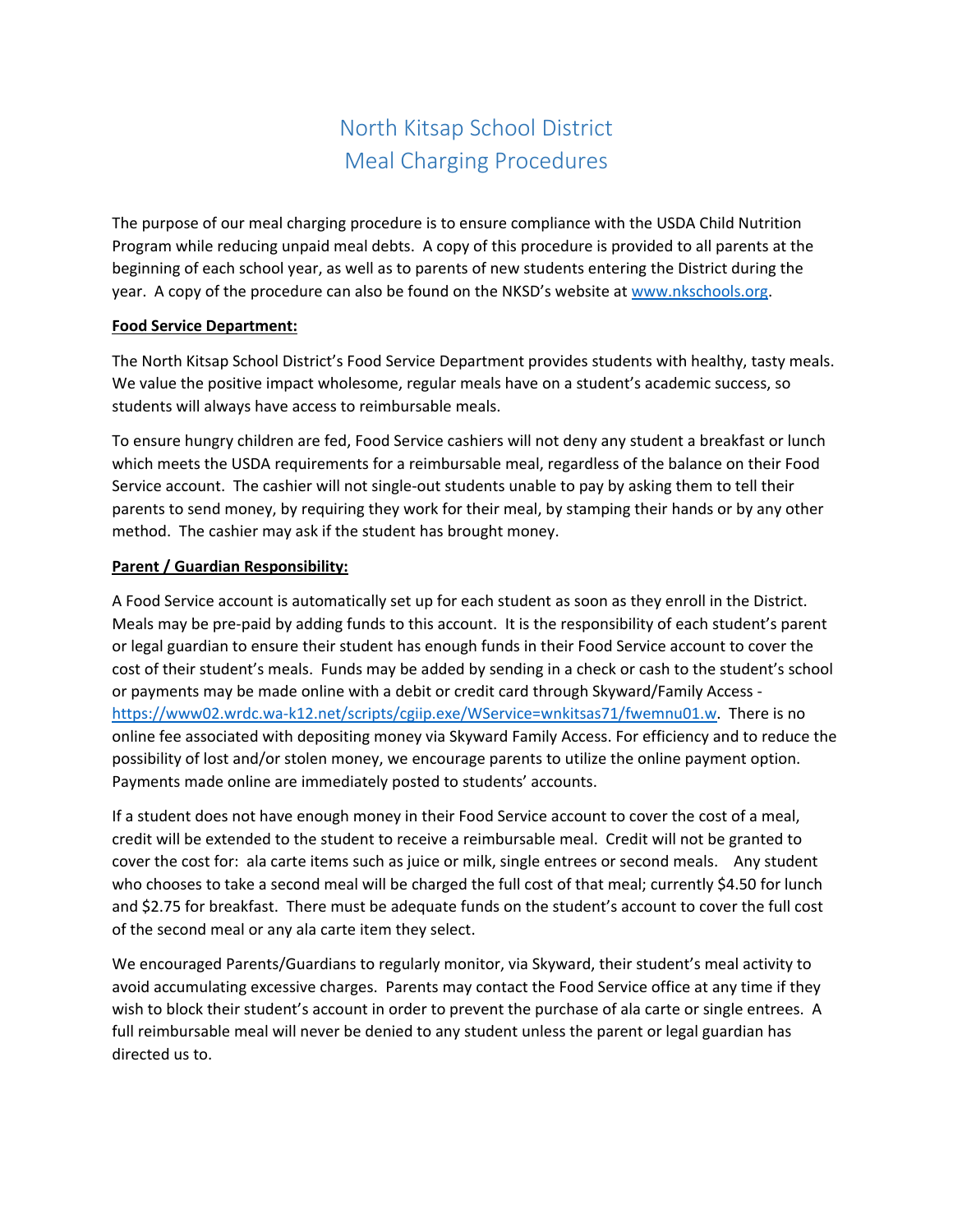# North Kitsap School District Meal Charging Procedures

The purpose of our meal charging procedure is to ensure compliance with the USDA Child Nutrition Program while reducing unpaid meal debts. A copy of this procedure is provided to all parents at the beginning of each school year, as well as to parents of new students entering the District during the year. A copy of the procedure can also be found on the NKSD's website at www.nkschools.org.

## **Food Service Department:**

The North Kitsap School District's Food Service Department provides students with healthy, tasty meals. We value the positive impact wholesome, regular meals have on a student's academic success, so students will always have access to reimbursable meals.

To ensure hungry children are fed, Food Service cashiers will not deny any student a breakfast or lunch which meets the USDA requirements for a reimbursable meal, regardless of the balance on their Food Service account. The cashier will not single-out students unable to pay by asking them to tell their parents to send money, by requiring they work for their meal, by stamping their hands or by any other method. The cashier may ask if the student has brought money.

# **Parent / Guardian Responsibility:**

A Food Service account is automatically set up for each student as soon as they enroll in the District. Meals may be pre‐paid by adding funds to this account. It is the responsibility of each student's parent or legal guardian to ensure their student has enough funds in their Food Service account to cover the cost of their student's meals. Funds may be added by sending in a check or cash to the student's school or payments may be made online with a debit or credit card through Skyward/Family Access ‐ https://www02.wrdc.wa‐k12.net/scripts/cgiip.exe/WService=wnkitsas71/fwemnu01.w. There is no online fee associated with depositing money via Skyward Family Access. For efficiency and to reduce the possibility of lost and/or stolen money, we encourage parents to utilize the online payment option. Payments made online are immediately posted to students' accounts.

If a student does not have enough money in their Food Service account to cover the cost of a meal, credit will be extended to the student to receive a reimbursable meal. Credit will not be granted to cover the cost for: ala carte items such as juice or milk, single entrees or second meals. Any student who chooses to take a second meal will be charged the full cost of that meal; currently \$4.50 for lunch and \$2.75 for breakfast. There must be adequate funds on the student's account to cover the full cost of the second meal or any ala carte item they select.

We encouraged Parents/Guardians to regularly monitor, via Skyward, their student's meal activity to avoid accumulating excessive charges. Parents may contact the Food Service office at any time if they wish to block their student's account in order to prevent the purchase of ala carte or single entrees. A full reimbursable meal will never be denied to any student unless the parent or legal guardian has directed us to.